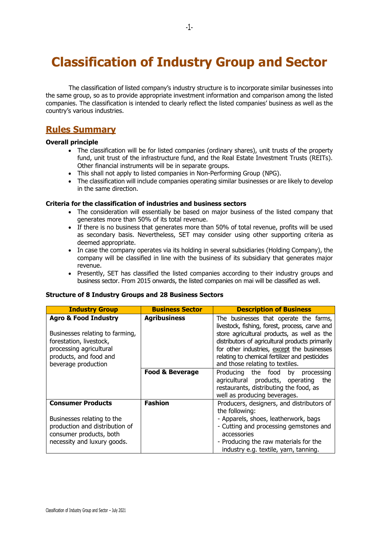# **Classification of Industry Group and Sector**

The classification of listed company's industry structure is to incorporate similar businesses into the same group, so as to provide appropriate investment information and comparison among the listed companies. The classification is intended to clearly reflect the listed companies' business as well as the country's various industries.

### **Rules Summary**

#### **Overall principle**

- The classification will be for listed companies (ordinary shares), unit trusts of the property fund, unit trust of the infrastructure fund, and the Real Estate Investment Trusts (REITs). Other financial instruments will be in separate groups.
- This shall not apply to listed companies in Non-Performing Group (NPG).
- The classification will include companies operating similar businesses or are likely to develop in the same direction.

#### **Criteria for the classification of industries and business sectors**

- The consideration will essentially be based on major business of the listed company that generates more than 50% of its total revenue.
- If there is no business that generates more than 50% of total revenue, profits will be used as secondary basis. Nevertheless, SET may consider using other supporting criteria as deemed appropriate.
- In case the company operates via its holding in several subsidiaries (Holding Company), the company will be classified in line with the business of its subsidiary that generates major revenue.
- Presently, SET has classified the listed companies according to their industry groups and business sector. From 2015 onwards, the listed companies on mai will be classified as well.

#### **Structure of 8 Industry Groups and 28 Business Sectors**

| <b>Industry Group</b>                                                                                                                                                     | <b>Business Sector</b>     | <b>Description of Business</b>                                                                                                                                                                                                                                                                                                 |
|---------------------------------------------------------------------------------------------------------------------------------------------------------------------------|----------------------------|--------------------------------------------------------------------------------------------------------------------------------------------------------------------------------------------------------------------------------------------------------------------------------------------------------------------------------|
| <b>Agro &amp; Food Industry</b><br>Businesses relating to farming,<br>forestation, livestock,<br>processing agricultural<br>products, and food and<br>beverage production | <b>Agribusiness</b>        | The businesses that operate the farms,<br>livestock, fishing, forest, process, carve and<br>store agricultural products, as well as the<br>distributors of agricultural products primarily<br>for other industries, except the businesses<br>relating to chemical fertilizer and pesticides<br>and those relating to textiles. |
|                                                                                                                                                                           | <b>Food &amp; Beverage</b> | Producing the food<br>by<br>processing<br>agricultural products, operating<br>the<br>restaurants, distributing the food, as<br>well as producing beverages.                                                                                                                                                                    |
| <b>Consumer Products</b><br>Businesses relating to the<br>production and distribution of<br>consumer products, both<br>necessity and luxury goods.                        | <b>Fashion</b>             | Producers, designers, and distributors of<br>the following:<br>- Apparels, shoes, leatherwork, bags<br>- Cutting and processing gemstones and<br>accessories<br>- Producing the raw materials for the<br>industry e.g. textile, yarn, tanning.                                                                                 |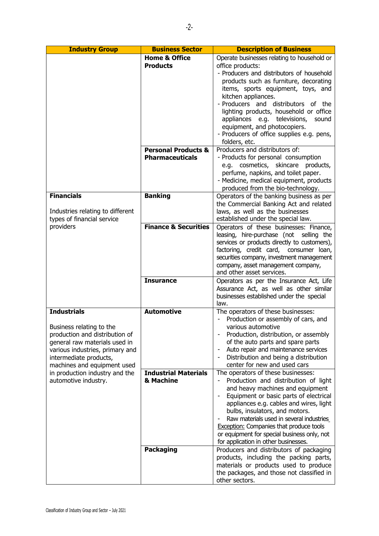| <b>Industry Group</b>                                                                                                                                                                                                                                                   | <b>Business Sector</b>                                                        | <b>Description of Business</b>                                                                                                                                                                                                                                                                                                                                                                                                                                                |
|-------------------------------------------------------------------------------------------------------------------------------------------------------------------------------------------------------------------------------------------------------------------------|-------------------------------------------------------------------------------|-------------------------------------------------------------------------------------------------------------------------------------------------------------------------------------------------------------------------------------------------------------------------------------------------------------------------------------------------------------------------------------------------------------------------------------------------------------------------------|
|                                                                                                                                                                                                                                                                         | <b>Home &amp; Office</b><br><b>Products</b><br><b>Personal Products &amp;</b> | Operate businesses relating to household or<br>office products:<br>- Producers and distributors of household<br>products such as furniture, decorating<br>items, sports equipment, toys, and<br>kitchen appliances.<br>- Producers and distributors of the<br>lighting products, household or office<br>appliances e.g. televisions,<br>sound<br>equipment, and photocopiers.<br>- Producers of office supplies e.g. pens,<br>folders, etc.<br>Producers and distributors of: |
|                                                                                                                                                                                                                                                                         | <b>Pharmaceuticals</b>                                                        | - Products for personal consumption<br>e.g. cosmetics, skincare<br>products,<br>perfume, napkins, and toilet paper.<br>- Medicine, medical equipment, products<br>produced from the bio-technology.                                                                                                                                                                                                                                                                           |
| <b>Financials</b><br>Industries relating to different<br>types of financial service<br>providers                                                                                                                                                                        | <b>Banking</b>                                                                | Operators of the banking business as per<br>the Commercial Banking Act and related<br>laws, as well as the businesses<br>established under the special law.                                                                                                                                                                                                                                                                                                                   |
|                                                                                                                                                                                                                                                                         | <b>Finance &amp; Securities</b>                                               | Operators of these businesses: Finance,<br>leasing, hire-purchase (not selling the<br>services or products directly to customers),<br>factoring, credit card, consumer loan,<br>securities company, investment management<br>company, asset management company,<br>and other asset services.                                                                                                                                                                                  |
|                                                                                                                                                                                                                                                                         | <b>Insurance</b>                                                              | Operators as per the Insurance Act, Life<br>Assurance Act, as well as other similar<br>businesses established under the special<br>law.                                                                                                                                                                                                                                                                                                                                       |
| <b>Industrials</b><br>Business relating to the<br>production and distribution of<br>general raw materials used in<br>various industries, primary and<br>intermediate products,<br>machines and equipment used<br>in production industry and the<br>automotive industry. | <b>Automotive</b>                                                             | The operators of these businesses:<br>Production or assembly of cars, and<br>various automotive<br>Production, distribution, or assembly<br>of the auto parts and spare parts<br>Auto repair and maintenance services<br>Distribution and being a distribution<br>center for new and used cars                                                                                                                                                                                |
|                                                                                                                                                                                                                                                                         | <b>Industrial Materials</b><br>& Machine                                      | The operators of these businesses:<br>Production and distribution of light<br>and heavy machines and equipment<br>Equipment or basic parts of electrical<br>appliances e.g. cables and wires, light<br>bulbs, insulators, and motors.<br>Raw materials used in several industries<br><b>Exception:</b> Companies that produce tools<br>or equipment for special business only, not<br>for application in other businesses.                                                    |
|                                                                                                                                                                                                                                                                         | <b>Packaging</b>                                                              | Producers and distributors of packaging<br>products, including the packing parts,<br>materials or products used to produce<br>the packages, and those not classified in<br>other sectors.                                                                                                                                                                                                                                                                                     |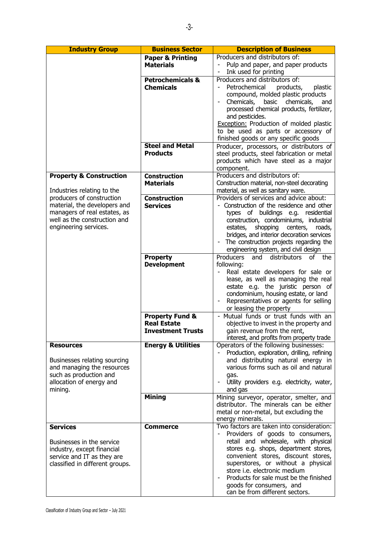| <b>Industry Group</b>                                                                                                                                                                                                  | <b>Business Sector</b>                                                       | <b>Description of Business</b>                                                                                                                                                                                                                                                                                                                                                     |
|------------------------------------------------------------------------------------------------------------------------------------------------------------------------------------------------------------------------|------------------------------------------------------------------------------|------------------------------------------------------------------------------------------------------------------------------------------------------------------------------------------------------------------------------------------------------------------------------------------------------------------------------------------------------------------------------------|
|                                                                                                                                                                                                                        | <b>Paper &amp; Printing</b><br><b>Materials</b>                              | Producers and distributors of:<br>Pulp and paper, and paper products<br>Ink used for printing                                                                                                                                                                                                                                                                                      |
|                                                                                                                                                                                                                        | <b>Petrochemicals &amp;</b><br><b>Chemicals</b>                              | Producers and distributors of:<br>Petrochemical<br>products,<br>plastic<br>compound, molded plastic products<br>Chemicals, basic chemicals,<br>and<br>processed chemical products, fertilizer,<br>and pesticides.<br>Exception: Production of molded plastic<br>to be used as parts or accessory of<br>finished goods or any specific goods                                        |
|                                                                                                                                                                                                                        | <b>Steel and Metal</b><br><b>Products</b>                                    | Producer, processors, or distributors of<br>steel products, steel fabrication or metal<br>products which have steel as a major<br>component.                                                                                                                                                                                                                                       |
| <b>Property &amp; Construction</b><br>Industries relating to the<br>producers of construction<br>material, the developers and<br>managers of real estates, as<br>well as the construction and<br>engineering services. | <b>Construction</b><br><b>Materials</b>                                      | Producers and distributors of:<br>Construction material, non-steel decorating<br>material, as well as sanitary ware.                                                                                                                                                                                                                                                               |
|                                                                                                                                                                                                                        | <b>Construction</b><br><b>Services</b>                                       | Providers of services and advice about:<br>- Construction of the residence and other<br>types of buildings e.g. residential<br>construction, condominiums, industrial<br>shopping centers,<br>estates,<br>roads,<br>bridges, and interior decoration services<br>The construction projects regarding the<br>engineering system, and civil design                                   |
|                                                                                                                                                                                                                        | <b>Property</b><br><b>Development</b>                                        | Producers<br>and<br>distributors of the<br>following:<br>Real estate developers for sale or<br>lease, as well as managing the real<br>estate e.g. the juristic person of<br>condominium, housing estate, or land<br>Representatives or agents for selling<br>or leasing the property                                                                                               |
|                                                                                                                                                                                                                        | <b>Property Fund &amp;</b><br><b>Real Estate</b><br><b>Investment Trusts</b> | - Mutual funds or trust funds with an<br>objective to invest in the property and<br>gain revenue from the rent,<br>interest, and profits from property trade                                                                                                                                                                                                                       |
| <b>Resources</b><br>Businesses relating sourcing<br>and managing the resources<br>such as production and<br>allocation of energy and<br>mining.                                                                        | <b>Energy &amp; Utilities</b>                                                | Operators of the following businesses:<br>Production, exploration, drilling, refining<br>and distributing natural energy in<br>various forms such as oil and natural<br>gas.<br>Utility providers e.g. electricity, water,<br>and gas                                                                                                                                              |
|                                                                                                                                                                                                                        | <b>Mining</b>                                                                | Mining surveyor, operator, smelter, and<br>distributor. The minerals can be either<br>metal or non-metal, but excluding the<br>energy minerals.                                                                                                                                                                                                                                    |
| <b>Services</b><br>Businesses in the service<br>industry, except financial<br>service and IT as they are<br>classified in different groups.                                                                            | <b>Commerce</b>                                                              | Two factors are taken into consideration:<br>Providers of goods to consumers,<br>retail and wholesale, with physical<br>stores e.g. shops, department stores,<br>convenient stores, discount stores,<br>superstores, or without a physical<br>store i.e. electronic medium<br>Products for sale must be the finished<br>goods for consumers, and<br>can be from different sectors. |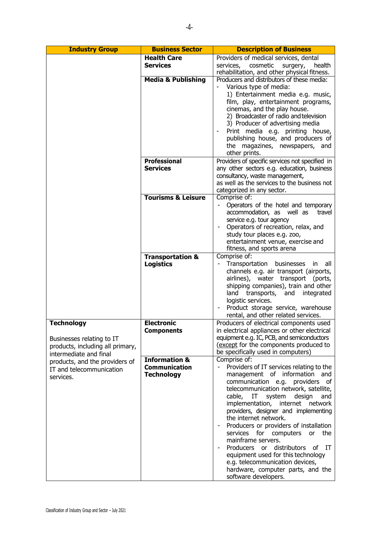| <b>Industry Group</b>                                    | <b>Business Sector</b>        | <b>Description of Business</b>                                                                |
|----------------------------------------------------------|-------------------------------|-----------------------------------------------------------------------------------------------|
|                                                          | <b>Health Care</b>            | Providers of medical services, dental                                                         |
|                                                          | <b>Services</b>               | services,<br>cosmetic<br>surgery,<br>health                                                   |
|                                                          |                               | rehabilitation, and other physical fitness.                                                   |
|                                                          | <b>Media &amp; Publishing</b> | Producers and distributors of these media:                                                    |
|                                                          |                               | Various type of media:                                                                        |
|                                                          |                               | 1) Entertainment media e.g. music,                                                            |
|                                                          |                               | film, play, entertainment programs,                                                           |
|                                                          |                               | cinemas, and the play house.                                                                  |
|                                                          |                               | 2) Broadcaster of radio and television                                                        |
|                                                          |                               | 3) Producer of advertising media                                                              |
|                                                          |                               | Print media e.g. printing house,                                                              |
|                                                          |                               | publishing house, and producers of                                                            |
|                                                          |                               | the magazines, newspapers, and<br>other prints.                                               |
|                                                          | <b>Professional</b>           |                                                                                               |
|                                                          | <b>Services</b>               | Providers of specific services not specified in<br>any other sectors e.g. education, business |
|                                                          |                               | consultancy, waste management,                                                                |
|                                                          |                               | as well as the services to the business not                                                   |
|                                                          |                               | categorized in any sector.                                                                    |
|                                                          | <b>Tourisms &amp; Leisure</b> | Comprise of:                                                                                  |
|                                                          |                               | Operators of the hotel and temporary                                                          |
|                                                          |                               | accommodation, as well as<br>travel                                                           |
|                                                          |                               | service e.g. tour agency                                                                      |
|                                                          |                               | Operators of recreation, relax, and                                                           |
|                                                          |                               | study tour places e.g. zoo,                                                                   |
|                                                          |                               | entertainment venue, exercise and                                                             |
|                                                          |                               | fitness, and sports arena                                                                     |
|                                                          | <b>Transportation &amp;</b>   | Comprise of:                                                                                  |
|                                                          | <b>Logistics</b>              | Transportation<br>businesses<br>in.<br>all<br>channels e.g. air transport (airports,          |
|                                                          |                               | airlines), water transport (ports,                                                            |
|                                                          |                               | shipping companies), train and other                                                          |
|                                                          |                               | land transports,<br>and integrated                                                            |
|                                                          |                               | logistic services.                                                                            |
|                                                          |                               | Product storage service, warehouse                                                            |
|                                                          |                               | rental, and other related services.                                                           |
| <b>Technology</b>                                        | <b>Electronic</b>             | Producers of electrical components used                                                       |
|                                                          | <b>Components</b>             | in electrical appliances or other electrical                                                  |
| Businesses relating to IT                                |                               | equipment e.g. IC, PCB, and semiconductors<br>(except for the components produced to          |
| products, including all primary,                         |                               | be specifically used in computers)                                                            |
| intermediate and final<br>products, and the providers of | <b>Information &amp;</b>      | Comprise of:                                                                                  |
| IT and telecommunication                                 | <b>Communication</b>          | Providers of IT services relating to the<br>$\overline{\phantom{0}}$                          |
| services.                                                | <b>Technology</b>             | management of information and                                                                 |
|                                                          |                               | communication e.g. providers of                                                               |
|                                                          |                               | telecommunication network, satellite,                                                         |
|                                                          |                               | cable, IT<br>system<br>design<br>and                                                          |
|                                                          |                               | implementation, internet network                                                              |
|                                                          |                               | providers, designer and implementing<br>the internet network.                                 |
|                                                          |                               | Producers or providers of installation                                                        |
|                                                          |                               | services for computers or<br>the                                                              |
|                                                          |                               | mainframe servers.                                                                            |
|                                                          |                               | Producers or distributors of IT                                                               |
|                                                          |                               | equipment used for this technology                                                            |
|                                                          |                               | e.g. telecommunication devices,                                                               |
|                                                          |                               | hardware, computer parts, and the                                                             |
|                                                          |                               | software developers.                                                                          |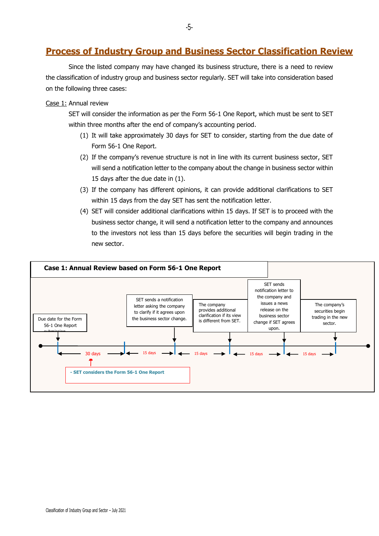### **Process of Industry Group and Business Sector Classification Review**

Since the listed company may have changed its business structure, there is a need to review the classification of industry group and business sector regularly. SET will take into consideration based on the following three cases:

#### Case 1: Annual review

SET will consider the information as per the Form 56-1 One Report, which must be sent to SET within three months after the end of company's accounting period.

- (1) It will take approximately 30 days for SET to consider, starting from the due date of Form 56-1 One Report.
- (2) If the company's revenue structure is not in line with its current business sector, SET will send a notification letter to the company about the change in business sector within 15 days after the due date in (1).
- (3) If the company has different opinions, it can provide additional clarifications to SET within 15 days from the day SET has sent the notification letter.
- (4) SET will consider additional clarifications within 15 days. If SET is to proceed with the business sector change, it will send a notification letter to the company and announces to the investors not less than 15 days before the securities will begin trading in the new sector.

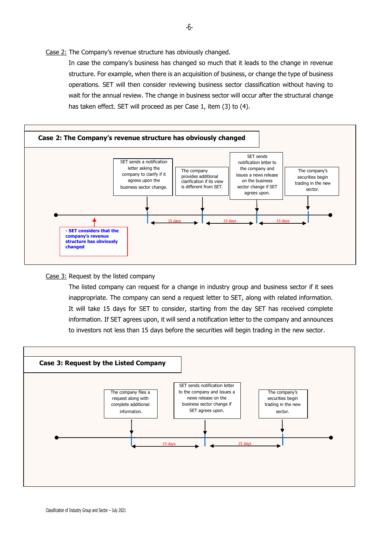Case 2: The Company's revenue structure has obviously changed.

In case the company's business has changed so much that it leads to the change in revenue structure. For example, when there is an acquisition of business, or change the type of business operations. SET will then consider reviewing business sector classification without having to wait for the annual review. The change in business sector will occur after the structural change has taken effect. SET will proceed as per Case 1, item (3) to (4).



Case 3: Request by the listed company

The listed company can request for a change in industry group and business sector if it sees inappropriate. The company can send a request letter to SET, along with related information. It will take 15 days for SET to consider, starting from the day SET has received complete information. If SET agrees upon, it will send a notification letter to the company and announces to investors not less than 15 days before the securities will begin trading in the new sector.



Classification of Industry Group and Sector – July 2021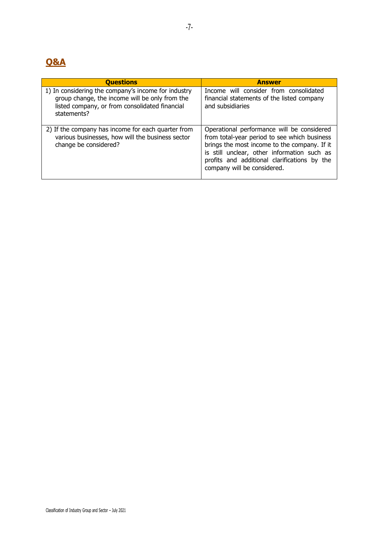## **Q&A**

| <b>Questions</b>                                                                                                                                                       | <b>Answer</b>                                                                                                                                                                                                                                                            |
|------------------------------------------------------------------------------------------------------------------------------------------------------------------------|--------------------------------------------------------------------------------------------------------------------------------------------------------------------------------------------------------------------------------------------------------------------------|
| 1) In considering the company's income for industry<br>group change, the income will be only from the<br>listed company, or from consolidated financial<br>statements? | Income will consider from consolidated<br>financial statements of the listed company<br>and subsidiaries                                                                                                                                                                 |
| 2) If the company has income for each quarter from<br>various businesses, how will the business sector<br>change be considered?                                        | Operational performance will be considered<br>from total-year period to see which business<br>brings the most income to the company. If it<br>is still unclear, other information such as<br>profits and additional clarifications by the<br>company will be considered. |